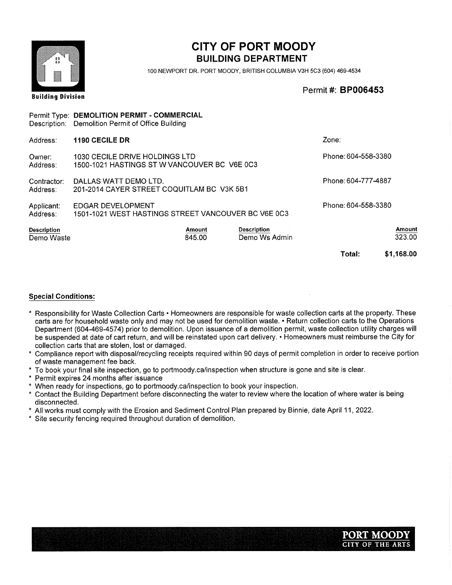

100 NEWPORT DR. PORT MOODY, BRITISH COLUMBIA V3H 5C3 (604) 469-4534

Permit#: BP006453

|                                  | Permit Type: DEMOLITION PERMIT - COMMERCIAL<br>Description: Demolition Permit of Office Building |                  |                                     |                     |                  |
|----------------------------------|--------------------------------------------------------------------------------------------------|------------------|-------------------------------------|---------------------|------------------|
| Address:                         | <b>1190 CECILE DR</b>                                                                            |                  |                                     | Zone:               |                  |
| Owner:<br>Address:               | 1030 CECILE DRIVE HOLDINGS LTD<br>1500-1021 HASTINGS ST W VANCOUVER BC V6E 0C3                   |                  |                                     | Phone: 604-558-3380 |                  |
| Contractor:<br>Address:          | DALLAS WATT DEMO LTD.<br>201-2014 CAYER STREET COQUITLAM BC V3K 5B1                              |                  |                                     | Phone: 604-777-4887 |                  |
| Applicant:<br>Address:           | EDGAR DEVELOPMENT<br>1501-1021 WEST HASTINGS STREET VANCOUVER BC V6E 0C3                         |                  |                                     | Phone: 604-558-3380 |                  |
| <b>Description</b><br>Demo Waste |                                                                                                  | Amount<br>845.00 | <b>Description</b><br>Demo Ws Admin |                     | Amount<br>323.00 |
|                                  |                                                                                                  |                  |                                     | Total:              | \$1,168.00       |

- \* Responsibility for Waste Collection Carts Homeowners are responsible for waste collection carts at the property. These carts are for household waste only and may not be used for demolition waste. • Return collection carts to the Operations Department (604-469-4574) prior to demolition. Upon issuance of a demolition permit, waste collection utility charges will be suspended at date of cart return, and will be reinstated upon cart delivery. • Homeowners must reimburse the City for collection carts that are stolen, lost or damaged.
- Compliance report with disposal/recycling receipts required within 90 days of permit completion in order to receive portion of waste management fee back.
- To book your final site inspection, go to portmoody.ca/inspection when structure is gone and site is clear.
- Permit expires 24 months after issuance
- When ready for inspections, go to portmoody.ca/inspection to book your inspection.
- Contact the Building Department before disconnecting the water to review where the location of where water is being disconnected.
- All works must comply with the Erosion and Sediment Control Plan prepared by Binnie, date April 11,2022.
- Site security fencing required throughout duration of demolition.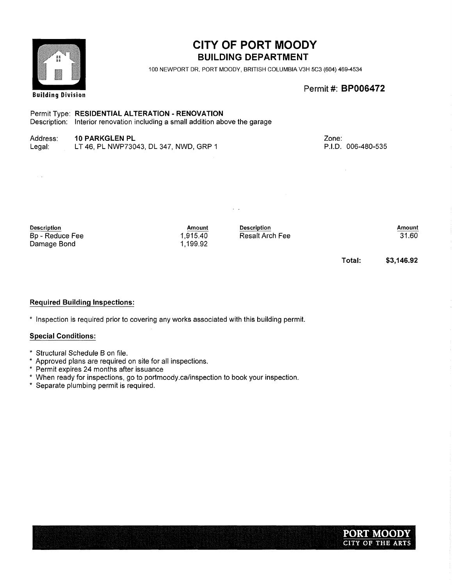| 装護                                                   |                                                                                                                                  |                                | 100 NEWPORT DR, PORT MOODY, BRITISH COLUMBIA V3H 5C3 (604) 469-4534 |                             |                 |
|------------------------------------------------------|----------------------------------------------------------------------------------------------------------------------------------|--------------------------------|---------------------------------------------------------------------|-----------------------------|-----------------|
| <b>Building Division</b>                             |                                                                                                                                  |                                |                                                                     | Permit #: <b>BP006472</b>   |                 |
|                                                      | Permit Type: RESIDENTIAL ALTERATION - RENOVATION<br>Description: Interior renovation including a small addition above the garage |                                |                                                                     |                             |                 |
| Address:<br>Legal:                                   | <b>10 PARKGLEN PL</b><br>LT 46, PL NWP73043, DL 347, NWD, GRP 1                                                                  |                                |                                                                     | Zone:<br>P.I.D. 006-480-535 |                 |
|                                                      |                                                                                                                                  |                                |                                                                     |                             |                 |
|                                                      |                                                                                                                                  |                                |                                                                     |                             |                 |
| <b>Description</b><br>Bp - Reduce Fee<br>Damage Bond |                                                                                                                                  | Amount<br>1,915.40<br>1,199.92 | <b>Description</b><br>Resalt Arch Fee                               |                             | Amount<br>31.60 |

Total: \$3,146.92

#### Required Building Inspections:

\* Inspection is required prior to covering any works associated with this building permit.

#### Special Conditions:

- Structural Schedule B on file.
- Approved plans are required on site for all inspections.
- Permit expires 24 months after issuance
- When ready for inspections, go to portmoody.ca/inspection to book your inspection.
- Separate plumbing permit is required.





# CITY OF PORT MOODY **BUILDING DEPARTMENT**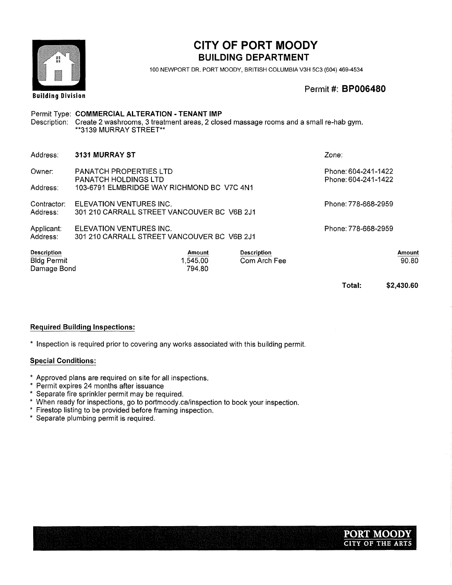

100 NEWPORT DR. PORT MOODY, BRITISH COLUMBIA V3H 5C3 (604) 469-4534

Permit#: BP006480

# Permit Type: COMMERCIAL ALTERATION - TENANT IMP Description: Create 2 washrooms, 3 treatment areas, 2 closed massage rooms and a small re-hab gym. 3139 MURRAY STREET\*\* Address: 3131 MURRAY ST Zone: Owner: PANATCH PROPERTIES LTD Phone: 604-241-1422 PANATCH HOLDINGS LTD PANATCH HOLDINGS LTD Address: 103-6791 ELMBRIDGE WAY RICHMOND BC V7C4N1 Contractor: ELEVATION VENTURES INC. CONTRACTOR: Phone: 778-668-2959 Address: 301 210 CARRALL STREET VANCOUVER BC V6B 2J1

Applicant: ELEVATION VENTURES INC.<br>Address: 301 210 CARRALL STREET VANCOUVER BC V6B 2J1 301 210 CARRALL STREET VANCOUVER BC V6B 2J1

| <b>Description</b> | Amount  | <b>Description</b> | Amount |
|--------------------|---------|--------------------|--------|
| <b>Bldg Permit</b> | ,545.00 | Com Arch Fee       | 90.80  |
| Damage Bond        | 794.80  |                    |        |

Total: \$2,430.60

Required Building Inspections:

\* Inspection is required prior to covering any works associated with this building permit.

- \* Approved plans are required on site for all inspections.
- \* Permit expires 24 months after issuance
- \* Separate fire sprinkler permit may be required.
- When ready for inspections, go to portmoody.ca/inspection to book your inspection.
- \* Firestop listing to be provided before framing inspection.
- \* Separate plumbing permit is required.

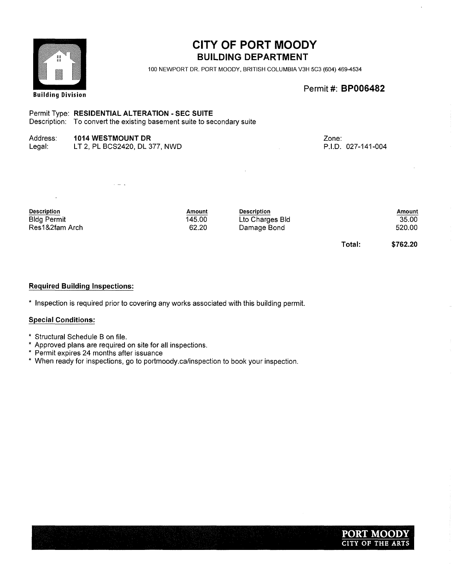

100 NEWPORT DR. PORT MOODY, BRITISH COLUMBIA V3H 5C3 (604) 469-4534

Permit #: **BP006482** 

#### Permit Type: RESIDENTIAL ALTERATION - SEC SUITE

 $\omega = \omega$ 

Description: To convert the existing basement suite to secondary suite

### Address: 1014 WESTMOUNT DR

Legal: LT 2, PL BCS2420, DL 377, NWD Zone: P.I.D. 027-141-004

| <b>Description</b> | Amount | <b>Description</b> |        | Amount   |
|--------------------|--------|--------------------|--------|----------|
| <b>Bldg Permit</b> | 145.00 | Lto Charges Bld    |        | 35.00    |
| Res1&2fam Arch     | 62.20  | Damage Bond        |        | 520.00   |
|                    |        |                    | Total: | \$762.20 |

#### Required Building Inspections:

\* Inspection is required prior to covering any works associated with this building permit.

- \* Structural Schedule B on file.
- Approved plans are required on site for all inspections.
- Permit expires 24 months after issuance
- When ready for inspections, go to portmoody.ca/inspection to book your inspection.

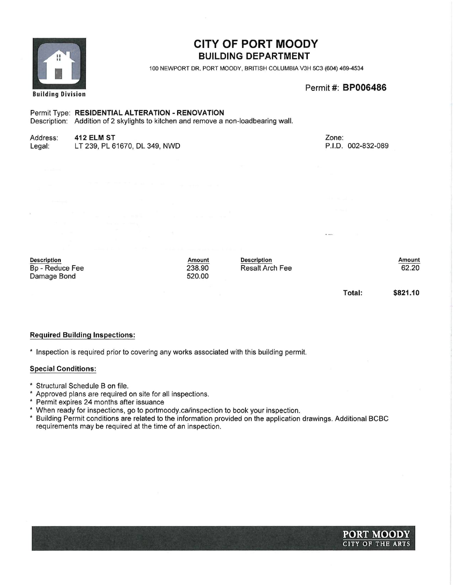

100 NEWPORT DR. PORT MOODY, BRITISH COLUMBIA V3H 5C3 (604) 469-4534

Permit #: BP006486

#### Permit Type: RESIDENTIAL ALTERATION - RENOVATION

Description: Addition of 2 skylights to kitchen and remove a non-loadbearing wall.

# Address: **412 ELM ST**<br>Legal: LT 239, PL 6

# LT 239, PL 61670, DL 349, NWD

Zone: P.I.D. 002-832-089

Description Bp - Reduce Fee Damage Bond

Amount 238.90 520.00

Description Resalt Arch Fee

Amount 62.20

Total:

\$821.10

#### Required Building Inspections:

\* Inspection is required prior to covering any works associated with this building permit.

- Structural Schedule B on file.
- $\ast$ Approved plans are required on site for all inspections.
- × Permit expires 24 months after issuance
- \* When ready for inspections, go to portmoody.ca/inspection to book your inspection.
- $\star$ Building Permit conditions are related to the information provided on the application drawings. Additional BCBC requirements may be required at the time of an inspection.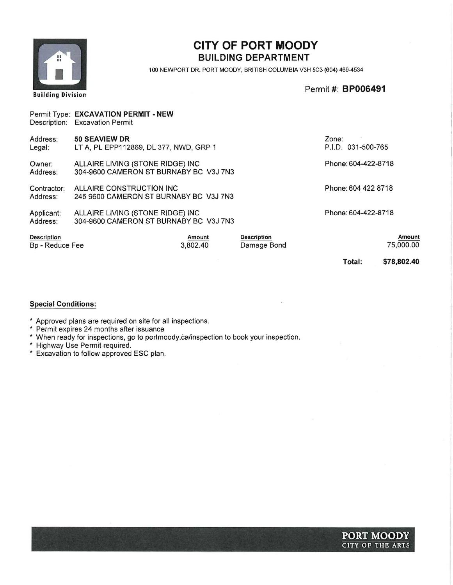

100 NEWPORT DR. PORT MOODY, BRITISH COLUMBIA V3H 5C3 (604) 469-4534

Permit #: **BP006491** 

|                                       | Permit Type: EXCAVATION PERMIT - NEW<br>Description: Excavation Permit     |                    |                                   |                             |                     |
|---------------------------------------|----------------------------------------------------------------------------|--------------------|-----------------------------------|-----------------------------|---------------------|
| Address:<br>Legal:                    | 50 SEAVIEW DR<br>LT A, PL EPP112869, DL 377, NWD, GRP 1                    |                    |                                   | Zone:<br>P.I.D. 031-500-765 |                     |
| Owner:<br>Address:                    | ALLAIRE LIVING (STONE RIDGE) INC<br>304-9600 CAMERON ST BURNABY BC V3J 7N3 |                    |                                   | Phone: 604-422-8718         |                     |
| Contractor:<br>Address:               | ALLAIRE CONSTRUCTION INC<br>245 9600 CAMERON ST BURNABY BC V3J 7N3         |                    |                                   | Phone: 604 422 8718         |                     |
| Applicant:<br>Address:                | ALLAIRE LIVING (STONE RIDGE) INC<br>304-9600 CAMERON ST BURNABY BC V3J 7N3 |                    |                                   | Phone: 604-422-8718         |                     |
| <b>Description</b><br>Bp - Reduce Fee |                                                                            | Amount<br>3,802.40 | <b>Description</b><br>Damage Bond |                             | Amount<br>75,000.00 |
|                                       |                                                                            |                    |                                   | Total:                      | \$78,802.40         |

- Approved plans are required on site for all inspections.
- Permit expires 24 months after issuance
- When ready for inspections, go to portmoody.ca/inspection to book your inspection.
- Highway Use Permit required.
- Excavation to follow approved ESC plan.

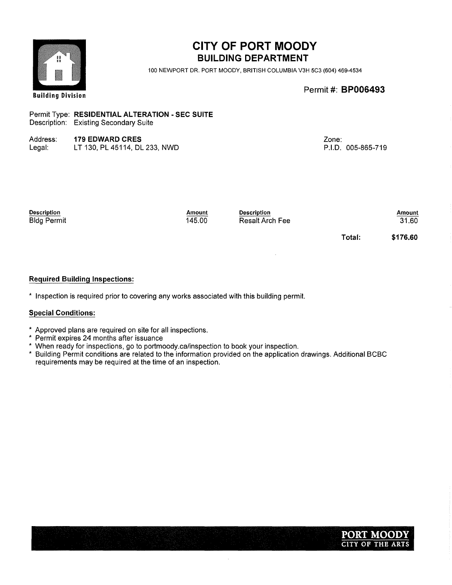| ☜<br>自目<br>登員              |                                                                                          |                  | <b>BUILDING DEPARTMENT</b><br>100 NEWPORT DR. PORT MOODY, BRITISH COLUMBIA V3H 5C3 (604) 469-4534 |                             |                        |
|----------------------------|------------------------------------------------------------------------------------------|------------------|---------------------------------------------------------------------------------------------------|-----------------------------|------------------------|
| <b>Building Division</b>   |                                                                                          |                  |                                                                                                   | Permit #: <b>BP006493</b>   |                        |
|                            | Permit Type: RESIDENTIAL ALTERATION - SEC SUITE<br>Description: Existing Secondary Suite |                  |                                                                                                   |                             |                        |
| Address:<br>Legal:         | <b>179 EDWARD CRES</b><br>LT 130, PL 45114, DL 233, NWD                                  |                  |                                                                                                   | Zone:<br>P.I.D. 005-865-719 |                        |
| Description<br>Bldg Permit |                                                                                          | Amount<br>145.00 | <b>Description</b><br><b>Resalt Arch Fee</b>                                                      |                             | <b>Amount</b><br>31.60 |
|                            |                                                                                          |                  |                                                                                                   | Total:                      | \$176.60               |

#### Required Building Inspections:

\* Inspection is required prior to covering any works associated with this building permit.

#### Special Conditions:

- Approved plans are required on site for all inspections.
- Permit expires 24 months after issuance
- When ready for inspections, go to portmoody.ca/inspection to book your inspection.
- Building Permit conditions are related to the information provided on the application drawings. Additional BCBC requirements may be required at the time of an inspection.

 $\bar{\psi}$ 

# CITY OF PORT MOODY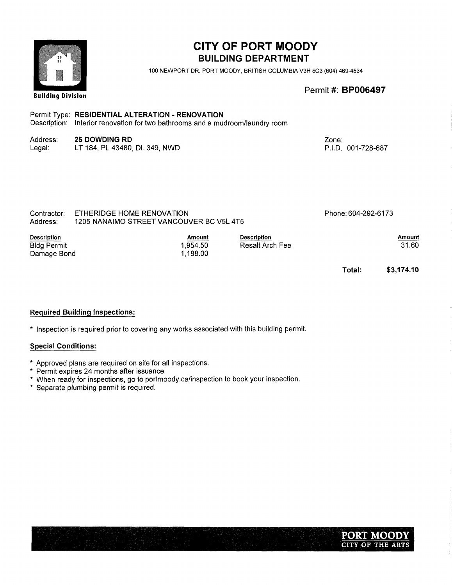| $\begin{array}{c} \mathbf{B} \\ \mathbf{B} \\ \mathbf{B} \end{array}$ |                                                                                                                                   |                                | <b>CITY OF PORT MOODY</b><br><b>BUILDING DEPARTMENT</b><br>100 NEWPORT DR. PORT MOODY, BRITISH COLUMBIA V3H 5C3 (604) 469-4534 |                             |                        |
|-----------------------------------------------------------------------|-----------------------------------------------------------------------------------------------------------------------------------|--------------------------------|--------------------------------------------------------------------------------------------------------------------------------|-----------------------------|------------------------|
| <b>Building Division</b>                                              |                                                                                                                                   |                                |                                                                                                                                | Permit #: <b>BP006497</b>   |                        |
|                                                                       | Permit Type: RESIDENTIAL ALTERATION - RENOVATION<br>Description: Interior renovation for two bathrooms and a mudroom/laundry room |                                |                                                                                                                                |                             |                        |
| Address:<br>Legal:                                                    | <b>25 DOWDING RD</b><br>LT 184, PL 43480, DL 349, NWD                                                                             |                                |                                                                                                                                | Zone:<br>P.I.D. 001-728-687 |                        |
| Contractor:<br>Address:                                               | ETHERIDGE HOME RENOVATION<br>1205 NANAIMO STREET VANCOUVER BC V5L 4T5                                                             |                                |                                                                                                                                | Phone: 604-292-6173         |                        |
| <b>Description</b><br><b>Bldg Permit</b><br>Damage Bond               |                                                                                                                                   | Amount<br>1,954.50<br>1,188.00 | <b>Description</b><br>Resalt Arch Fee                                                                                          |                             | <b>Amount</b><br>31.60 |
|                                                                       |                                                                                                                                   |                                |                                                                                                                                | Total:                      | \$3,174.10             |

#### Required Building Inspections:

\* Inspection is required prior to covering any works associated with this building permit.

- Approved plans are required on site for all inspections.
- Permit expires 24 months after issuance
- When ready for inspections, go to portmoody.ca/inspection to book your inspection.
- Separate plumbing permit is required.

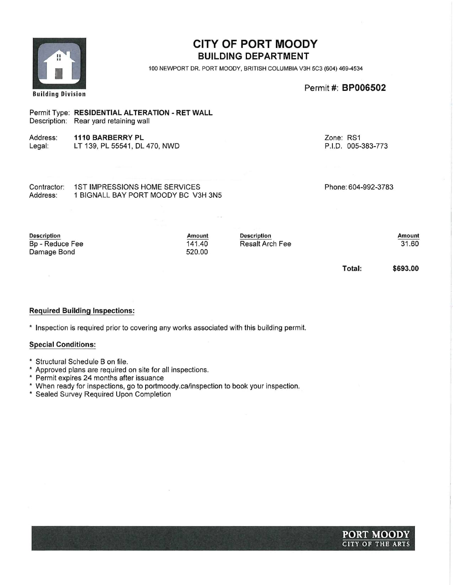| H<br><b>Building Division</b>                               |                                                                                         | <b>CITY OF PORT MOODY</b><br><b>BUILDING DEPARTMENT</b><br>100 NEWPORT DR. PORT MOODY, BRITISH COLUMBIA V3H 5C3 (604) 469-4534<br>Permit #: BP006502 |                                              |                                 |                        |
|-------------------------------------------------------------|-----------------------------------------------------------------------------------------|------------------------------------------------------------------------------------------------------------------------------------------------------|----------------------------------------------|---------------------------------|------------------------|
|                                                             | Permit Type: RESIDENTIAL ALTERATION - RET WALL<br>Description: Rear yard retaining wall |                                                                                                                                                      |                                              |                                 |                        |
| Address:<br>Legal:                                          | <b>1110 BARBERRY PL</b><br>LT 139, PL 55541, DL 470, NWD                                |                                                                                                                                                      |                                              | Zone: RS1<br>P.I.D. 005-383-773 |                        |
|                                                             |                                                                                         |                                                                                                                                                      |                                              |                                 |                        |
| Contractor:<br>Address:                                     | <b>1ST IMPRESSIONS HOME SERVICES</b><br>1 BIGNALL BAY PORT MOODY BC V3H 3N5             |                                                                                                                                                      |                                              | Phone: 604-992-3783             |                        |
|                                                             |                                                                                         |                                                                                                                                                      |                                              |                                 |                        |
| <b>Description</b><br><b>Bp - Reduce Fee</b><br>Damage Bond |                                                                                         | <b>Amount</b><br>141.40<br>520.00                                                                                                                    | <b>Description</b><br><b>Resalt Arch Fee</b> |                                 | <b>Amount</b><br>31.60 |

Total:

\$693.00

#### Required Building Inspections:

\* Inspection is required prior to covering any works associated with this building permit.

- Structural Schedule B on file.
- Approved plans are required on site for all inspections.
- Permit expires 24 months after issuance
- When ready for inspections, go to portmoody.ca/inspection to book your inspection.
- Sealed Survey Required Upon Completion